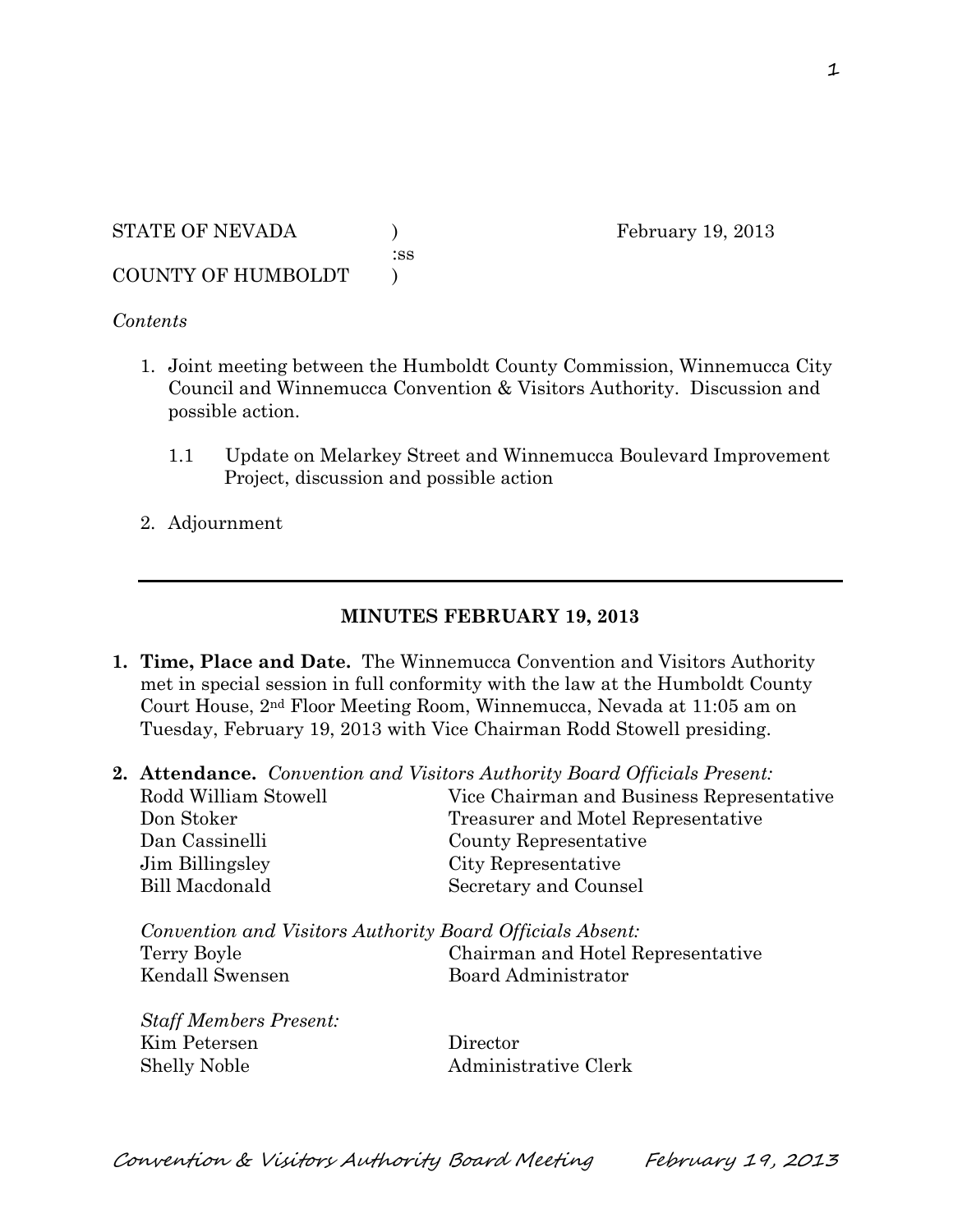STATE OF NEVADA ) February 19, 2013 :ss COUNTY OF HUMBOLDT )

## *Contents*

- 1. Joint meeting between the Humboldt County Commission, Winnemucca City Council and Winnemucca Convention & Visitors Authority. Discussion and possible action.
	- 1.1 Update on Melarkey Street and Winnemucca Boulevard Improvement Project, discussion and possible action
- 2. Adjournment

## **MINUTES FEBRUARY 19, 2013**

- **1. Time, Place and Date.** The Winnemucca Convention and Visitors Authority met in special session in full conformity with the law at the Humboldt County Court House, 2nd Floor Meeting Room, Winnemucca, Nevada at 11:05 am on Tuesday, February 19, 2013 with Vice Chairman Rodd Stowell presiding.
- **2. Attendance.** *Convention and Visitors Authority Board Officials Present:*

| Rodd William Stowell                                                                        | Vice Chairman and Business Representative                |
|---------------------------------------------------------------------------------------------|----------------------------------------------------------|
| Don Stoker                                                                                  | Treasurer and Motel Representative                       |
| Dan Cassinelli                                                                              | County Representative                                    |
| Jim Billingsley                                                                             | City Representative                                      |
| Bill Macdonald                                                                              | Secretary and Counsel                                    |
| Convention and Visitors Authority Board Officials Absent:<br>Terry Boyle<br>Kendall Swensen | Chairman and Hotel Representative<br>Board Administrator |
| <b>Staff Members Present:</b>                                                               |                                                          |
| Kim Petersen                                                                                | Director                                                 |
| <b>Shelly Noble</b>                                                                         | Administrative Clerk                                     |

Convention & Visitors Authority Board Meeting February 19, 2013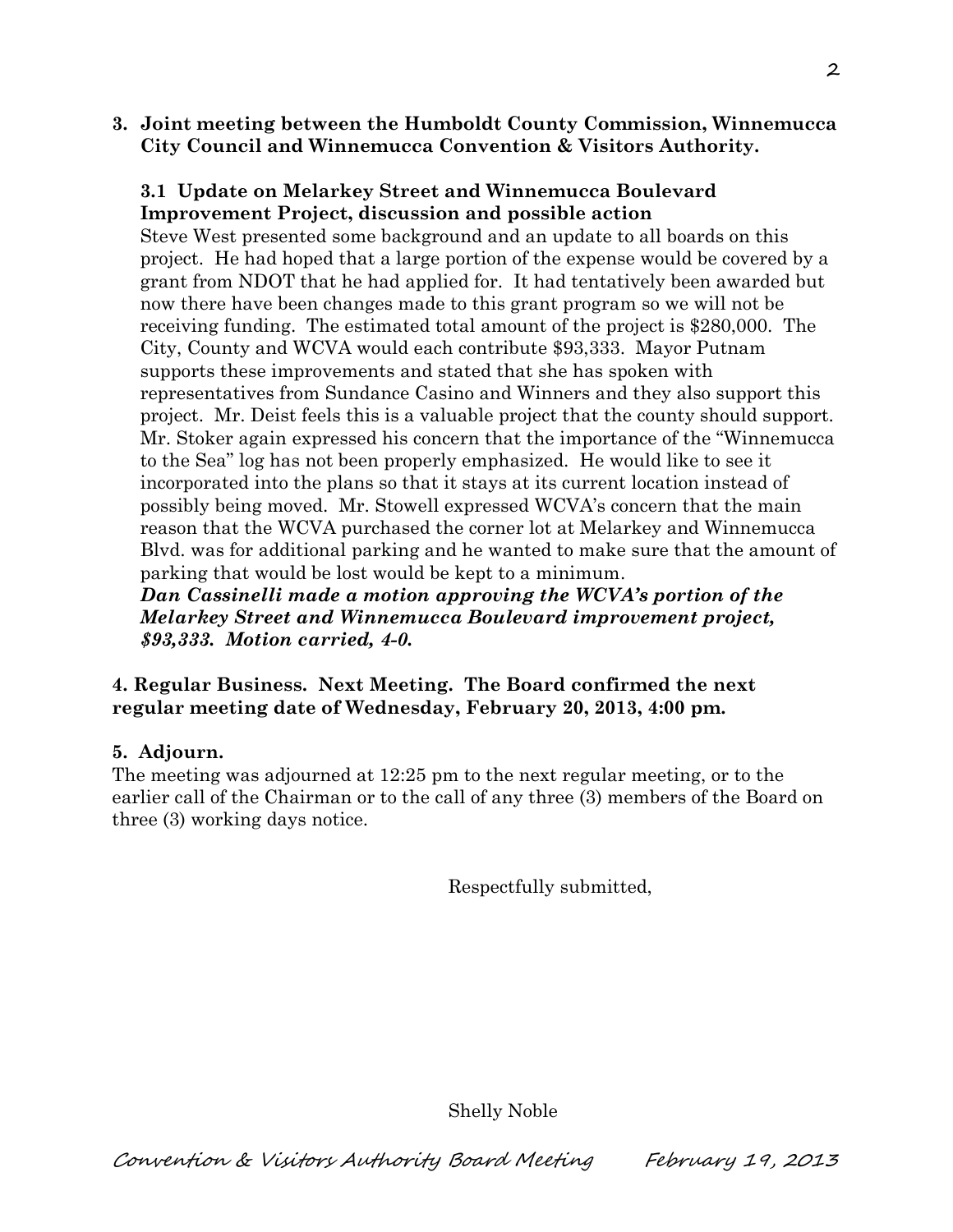**3. Joint meeting between the Humboldt County Commission, Winnemucca City Council and Winnemucca Convention & Visitors Authority.** 

## **3.1 Update on Melarkey Street and Winnemucca Boulevard Improvement Project, discussion and possible action**

Steve West presented some background and an update to all boards on this project. He had hoped that a large portion of the expense would be covered by a grant from NDOT that he had applied for. It had tentatively been awarded but now there have been changes made to this grant program so we will not be receiving funding. The estimated total amount of the project is \$280,000. The City, County and WCVA would each contribute \$93,333. Mayor Putnam supports these improvements and stated that she has spoken with representatives from Sundance Casino and Winners and they also support this project. Mr. Deist feels this is a valuable project that the county should support. Mr. Stoker again expressed his concern that the importance of the "Winnemucca to the Sea" log has not been properly emphasized. He would like to see it incorporated into the plans so that it stays at its current location instead of possibly being moved. Mr. Stowell expressed WCVA's concern that the main reason that the WCVA purchased the corner lot at Melarkey and Winnemucca Blvd. was for additional parking and he wanted to make sure that the amount of parking that would be lost would be kept to a minimum.

*Dan Cassinelli made a motion approving the WCVA's portion of the Melarkey Street and Winnemucca Boulevard improvement project, \$93,333. Motion carried, 4-0.*

**4. Regular Business. Next Meeting. The Board confirmed the next regular meeting date of Wednesday, February 20, 2013, 4:00 pm.** 

## **5. Adjourn.**

The meeting was adjourned at 12:25 pm to the next regular meeting, or to the earlier call of the Chairman or to the call of any three (3) members of the Board on three (3) working days notice.

Respectfully submitted,

Shelly Noble

Convention & Visitors Authority Board Meeting February 19, 2013